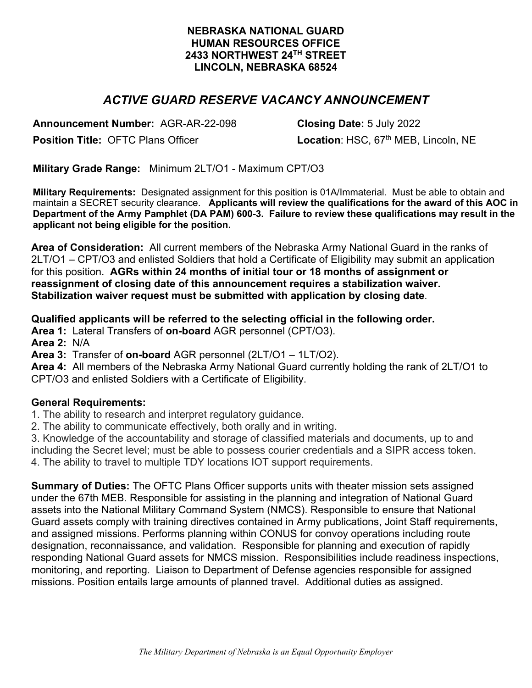### **NEBRASKA NATIONAL GUARD HUMAN RESOURCES OFFICE 2433 NORTHWEST 24TH STREET LINCOLN, NEBRASKA 68524**

# *ACTIVE GUARD RESERVE VACANCY ANNOUNCEMENT*

**Announcement Number:** AGR-AR-22-098 **Closing Date:** 5 July 2022

**Position Title: OFTC Plans Officer <b>Location**: HSC, 67<sup>th</sup> MEB, Lincoln, NE

**Military Grade Range:** Minimum 2LT/O1 - Maximum CPT/O3

**Military Requirements:** Designated assignment for this position is 01A/Immaterial. Must be able to obtain and maintain a SECRET security clearance. **Applicants will review the qualifications for the award of this AOC in Department of the Army Pamphlet (DA PAM) 600-3. Failure to review these qualifications may result in the applicant not being eligible for the position.** 

**Area of Consideration:** All current members of the Nebraska Army National Guard in the ranks of 2LT/O1 – CPT/O3 and enlisted Soldiers that hold a Certificate of Eligibility may submit an application for this position. **AGRs within 24 months of initial tour or 18 months of assignment or reassignment of closing date of this announcement requires a stabilization waiver. Stabilization waiver request must be submitted with application by closing date**.

### **Qualified applicants will be referred to the selecting official in the following order.**

**Area 1:** Lateral Transfers of **on-board** AGR personnel (CPT/O3).

**Area 2:** N/A

**Area 3:** Transfer of **on-board** AGR personnel (2LT/O1 – 1LT/O2).

**Area 4:** All members of the Nebraska Army National Guard currently holding the rank of 2LT/O1 to CPT/O3 and enlisted Soldiers with a Certificate of Eligibility.

### **General Requirements:**

1. The ability to research and interpret regulatory guidance.

2. The ability to communicate effectively, both orally and in writing.

3. Knowledge of the accountability and storage of classified materials and documents, up to and including the Secret level; must be able to possess courier credentials and a SIPR access token. 4. The ability to travel to multiple TDY locations IOT support requirements.

**Summary of Duties:** The OFTC Plans Officer supports units with theater mission sets assigned under the 67th MEB. Responsible for assisting in the planning and integration of National Guard assets into the National Military Command System (NMCS). Responsible to ensure that National Guard assets comply with training directives contained in Army publications, Joint Staff requirements, and assigned missions. Performs planning within CONUS for convoy operations including route designation, reconnaissance, and validation. Responsible for planning and execution of rapidly responding National Guard assets for NMCS mission. Responsibilities include readiness inspections, monitoring, and reporting. Liaison to Department of Defense agencies responsible for assigned missions. Position entails large amounts of planned travel. Additional duties as assigned.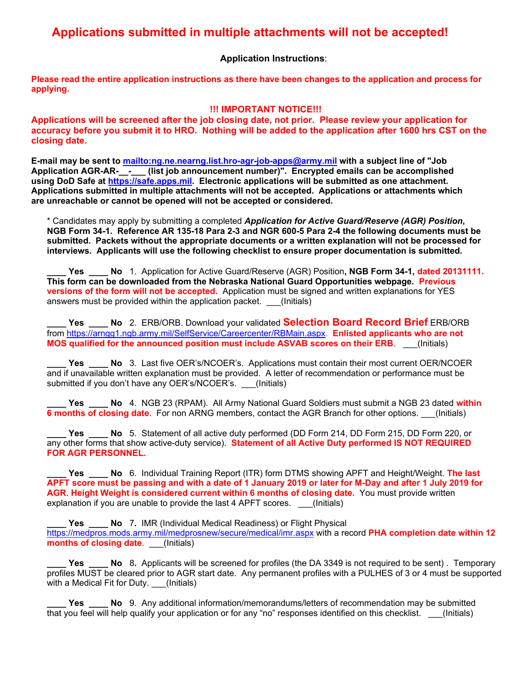# **Applications submitted in multiple attachments will not be accepted!**

**Application Instructions**:

**Please read the entire application instructions as there have been changes to the application and process for applying.** 

#### **!!! IMPORTANT NOTICE!!!**

**Applications will be screened after the job closing date, not prior. Please review your application for accuracy before you submit it to HRO. Nothing will be added to the application after 1600 hrs CST on the closing date.** 

**E-mail may be sent to mailto:ng.ne.nearng.list.hro-agr-job-apps@army.mil with a subject line of "Job Application AGR-AR-\_\_-\_\_\_ (list job announcement number)". Encrypted emails can be accomplished using DoD Safe at https://safe.apps.mil. Electronic applications will be submitted as one attachment. Applications submitted in multiple attachments will not be accepted. Applications or attachments which are unreachable or cannot be opened will not be accepted or considered.** 

\* Candidates may apply by submitting a completed *Application for Active Guard/Reserve (AGR) Position***, NGB Form 34-1. Reference AR 135-18 Para 2-3 and NGR 600-5 Para 2-4 the following documents must be submitted. Packets without the appropriate documents or a written explanation will not be processed for interviews. Applicants will use the following checklist to ensure proper documentation is submitted.** 

**\_\_\_\_ Yes \_\_\_\_ No** 1. Application for Active Guard/Reserve (AGR) Position**, NGB Form 34-1, dated 20131111. This form can be downloaded from the Nebraska National Guard Opportunities webpage. Previous versions of the form will not be accepted.** Application must be signed and written explanations for YES answers must be provided within the application packet. \_\_\_(Initials)

**\_\_\_\_ Yes \_\_\_\_ No** 2. ERB/ORB. Download your validated **Selection Board Record Brief** ERB/ORB from https://arngg1.ngb.army.mil/SelfService/Careercenter/RBMain.aspx. **Enlisted applicants who are not MOS qualified for the announced position must include ASVAB scores on their ERB**. \_\_\_(Initials)

Yes \_\_\_\_ No 3. Last five OER's/NCOER's. Applications must contain their most current OER/NCOER and if unavailable written explanation must be provided. A letter of recommendation or performance must be submitted if you don't have any OER's/NCOER's. (Initials)

**\_\_\_\_ Yes \_\_\_\_ No** 4. NGB 23 (RPAM). All Army National Guard Soldiers must submit a NGB 23 dated **within 6 months of closing date**. For non ARNG members, contact the AGR Branch for other options. \_\_\_(Initials)

**\_\_\_\_ Yes \_\_\_\_ No** 5. Statement of all active duty performed (DD Form 214, DD Form 215, DD Form 220, or any other forms that show active-duty service). **Statement of all Active Duty performed IS NOT REQUIRED FOR AGR PERSONNEL.**

**\_\_\_\_ Yes \_\_\_\_ No** 6. Individual Training Report (ITR) form DTMS showing APFT and Height/Weight. **The last APFT score must be passing and with a date of 1 January 2019 or later for M-Day and after 1 July 2019 for AGR**. **Height Weight is considered current within 6 months of closing date.** You must provide written explanation if you are unable to provide the last 4 APFT scores. (Initials)

**\_\_\_\_ Yes \_\_\_\_ No** 7**.** IMR (Individual Medical Readiness) or Flight Physical https://medpros.mods.army.mil/medprosnew/secure/medical/imr.aspx with a record **PHA completion date within 12 months of closing date**. (Initials)

**Yes No** 8. Applicants will be screened for profiles (the DA 3349 is not required to be sent) . Temporary profiles MUST be cleared prior to AGR start date. Any permanent profiles with a PULHES of 3 or 4 must be supported with a Medical Fit for Duty. \_\_\_(Initials)

**Yes No** 9. Any additional information/memorandums/letters of recommendation may be submitted that you feel will help qualify your application or for any "no" responses identified on this checklist. (Initials)